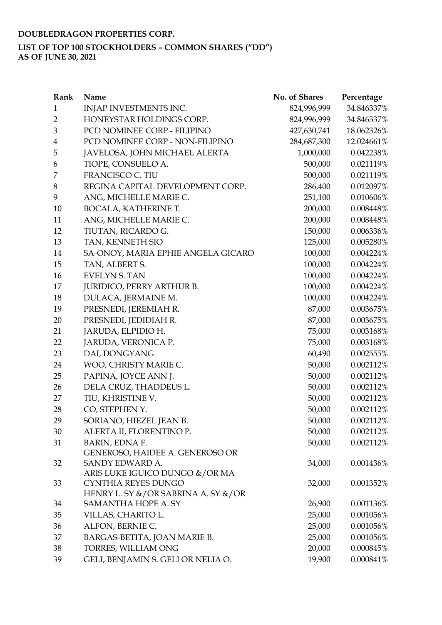## **LIST OF TOP 100 STOCKHOLDERS – COMMON SHARES ("DD")**

**AS OF JUNE 30, 2021**

| Rank                    | Name                                                              | No. of Shares | Percentage   |
|-------------------------|-------------------------------------------------------------------|---------------|--------------|
| $\mathbf{1}$            | INJAP INVESTMENTS INC.                                            | 824,996,999   | 34.846337%   |
| $\overline{2}$          | HONEYSTAR HOLDINGS CORP.                                          | 824,996,999   | 34.846337%   |
| 3                       | PCD NOMINEE CORP - FILIPINO                                       | 427,630,741   | 18.062326%   |
| $\overline{\mathbf{4}}$ | PCD NOMINEE CORP - NON-FILIPINO                                   | 284,687,300   | 12.024661%   |
| 5                       | JAVELOSA, JOHN MICHAEL ALERTA                                     | 1,000,000     | 0.042238%    |
| 6                       | TIOPE, CONSUELO A.                                                | 500,000       | 0.021119%    |
| 7                       | <b>FRANCISCO C. TIU</b>                                           | 500,000       | 0.021119%    |
| 8                       | REGINA CAPITAL DEVELOPMENT CORP.                                  | 286,400       | 0.012097%    |
| 9                       | ANG, MICHELLE MARIE C.                                            | 251,100       | 0.010606%    |
| 10                      | BOCALA, KATHERINE T.                                              | 200,000       | 0.008448%    |
| 11                      | ANG, MICHELLE MARIE C.                                            | 200,000       | 0.008448%    |
| 12                      | TIUTAN, RICARDO G.                                                | 150,000       | 0.006336%    |
| 13                      | TAN, KENNETH SIO                                                  | 125,000       | 0.005280%    |
| 14                      | SA-ONOY, MARIA EPHIE ANGELA GICARO                                | 100,000       | 0.004224%    |
| 15                      | TAN, ALBERT S.                                                    | 100,000       | 0.004224%    |
| 16                      | <b>EVELYN S. TAN</b>                                              | 100,000       | 0.004224%    |
| 17                      | <b>JURIDICO, PERRY ARTHUR B.</b>                                  | 100,000       | 0.004224%    |
| 18                      | DULACA, JERMAINE M.                                               | 100,000       | 0.004224%    |
| 19                      | PRESNEDI, JEREMIAH R.                                             | 87,000        | 0.003675%    |
| 20                      | PRESNEDI, JEDIDIAH R.                                             | 87,000        | 0.003675%    |
| 21                      | JARUDA, ELPIDIO H.                                                | 75,000        | 0.003168%    |
| 22                      | JARUDA, VERONICA P.                                               | 75,000        | 0.003168%    |
| 23                      | DAI, DONGYANG                                                     | 60,490        | $0.002555\%$ |
| 24                      | WOO, CHRISTY MARIE C.                                             | 50,000        | 0.002112%    |
| 25                      | PAPINA, JOYCE ANN J.                                              | 50,000        | 0.002112%    |
| 26                      | DELA CRUZ, THADDEUS L.                                            | 50,000        | 0.002112%    |
| 27                      | TIU, KHRISTINE V.                                                 | 50,000        | 0.002112%    |
| 28                      | CO, STEPHEN Y.                                                    | 50,000        | 0.002112%    |
| 29                      | SORIANO, HIEZEL JEAN B.                                           | 50,000        | 0.002112%    |
| 30                      | ALERTA II, FLORENTINO P.                                          | 50,000        | 0.002112%    |
| 31                      | BARIN, EDNA F.                                                    | 50,000        | 0.002112%    |
|                         | GENEROSO, HAIDEE A. GENEROSO OR                                   |               |              |
| 32                      | SANDY EDWARD A.                                                   | 34,000        | 0.001436%    |
|                         | ARIS LUKE IGUICO DUNGO &/OR MA                                    |               |              |
| 33                      | CYNTHIA REYES DUNGO                                               | 32,000        | 0.001352%    |
| 34                      | HENRY L. SY &/OR SABRINA A. SY &/OR<br><b>SAMANTHA HOPE A. SY</b> | 26,900        | 0.001136%    |
| 35                      | VILLAS, CHARITO L.                                                | 25,000        | 0.001056%    |
|                         |                                                                   |               |              |
| 36                      | ALFON, BERNIE C.                                                  | 25,000        | 0.001056%    |
| 37                      | BARGAS-BETITA, JOAN MARIE B.                                      | 25,000        | 0.001056%    |
| 38                      | TORRES, WILLIAM ONG                                               | 20,000        | 0.000845%    |
| 39                      | GELI, BENJAMIN S. GELI OR NELIA O.                                | 19,900        | 0.000841%    |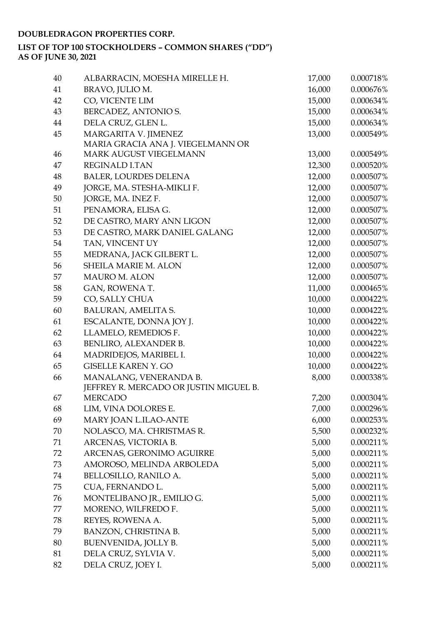| 40 | ALBARRACIN, MOESHA MIRELLE H.          | 17,000 | 0.000718%    |
|----|----------------------------------------|--------|--------------|
| 41 | BRAVO, JULIO M.                        | 16,000 | 0.000676%    |
| 42 | CO, VICENTE LIM                        | 15,000 | 0.000634%    |
| 43 | BERCADEZ, ANTONIO S.                   | 15,000 | 0.000634%    |
| 44 | DELA CRUZ, GLEN L.                     | 15,000 | 0.000634%    |
| 45 | MARGARITA V. JIMENEZ                   | 13,000 | 0.000549%    |
|    | MARIA GRACIA ANA J. VIEGELMANN OR      |        |              |
| 46 | <b>MARK AUGUST VIEGELMANN</b>          | 13,000 | 0.000549%    |
| 47 | <b>REGINALD LTAN</b>                   | 12,300 | 0.000520%    |
| 48 | <b>BALER, LOURDES DELENA</b>           | 12,000 | 0.000507%    |
| 49 | JORGE, MA. STESHA-MIKLI F.             | 12,000 | 0.000507%    |
| 50 | JORGE, MA. INEZ F.                     | 12,000 | $0.000507\%$ |
| 51 | PENAMORA, ELISA G.                     | 12,000 | 0.000507%    |
| 52 | DE CASTRO, MARY ANN LIGON              | 12,000 | 0.000507%    |
| 53 | DE CASTRO, MARK DANIEL GALANG          | 12,000 | 0.000507%    |
| 54 | TAN, VINCENT UY                        | 12,000 | $0.000507\%$ |
| 55 | MEDRANA, JACK GILBERT L.               | 12,000 | 0.000507%    |
| 56 | <b>SHEILA MARIE M. ALON</b>            | 12,000 | 0.000507%    |
| 57 | <b>MAURO M. ALON</b>                   | 12,000 | 0.000507%    |
| 58 | GAN, ROWENA T.                         | 11,000 | 0.000465%    |
| 59 | CO, SALLY CHUA                         | 10,000 | 0.000422%    |
| 60 | BALURAN, AMELITA S.                    | 10,000 | 0.000422%    |
| 61 | ESCALANTE, DONNA JOY J.                | 10,000 | 0.000422%    |
| 62 | LLAMELO, REMEDIOS F.                   | 10,000 | 0.000422%    |
| 63 | BENLIRO, ALEXANDER B.                  | 10,000 | 0.000422%    |
| 64 | MADRIDEJOS, MARIBEL I.                 | 10,000 | 0.000422%    |
| 65 | <b>GISELLE KAREN Y. GO</b>             | 10,000 | 0.000422%    |
| 66 | MANALANG, VENERANDA B.                 | 8,000  | 0.000338%    |
|    | JEFFREY R. MERCADO OR JUSTIN MIGUEL B. |        |              |
| 67 | <b>MERCADO</b>                         | 7,200  | 0.000304%    |
| 68 | LIM, VINA DOLORES E.                   | 7,000  | 0.000296%    |
| 69 | MARY JOAN L.ILAO-ANTE                  | 6,000  | 0.000253%    |
| 70 | NOLASCO, MA. CHRISTMAS R.              | 5,500  | 0.000232%    |
| 71 | ARCENAS, VICTORIA B.                   | 5,000  | 0.000211%    |
| 72 | ARCENAS, GERONIMO AGUIRRE              | 5,000  | 0.000211%    |
| 73 | AMOROSO, MELINDA ARBOLEDA              | 5,000  | 0.000211%    |
| 74 | BELLOSILLO, RANILO A.                  | 5,000  | 0.000211%    |
| 75 | CUA, FERNANDO L.                       | 5,000  | 0.000211%    |
| 76 | MONTELIBANO JR., EMILIO G.             | 5,000  | 0.000211%    |
| 77 | MORENO, WILFREDO F.                    | 5,000  | 0.000211%    |
| 78 | REYES, ROWENA A.                       | 5,000  | 0.000211%    |
| 79 | <b>BANZON, CHRISTINA B.</b>            | 5,000  | 0.000211%    |
| 80 | BUENVENIDA, JOLLY B.                   | 5,000  | 0.000211%    |
| 81 | DELA CRUZ, SYLVIA V.                   | 5,000  | 0.000211%    |
| 82 | DELA CRUZ, JOEY I.                     | 5,000  | 0.000211%    |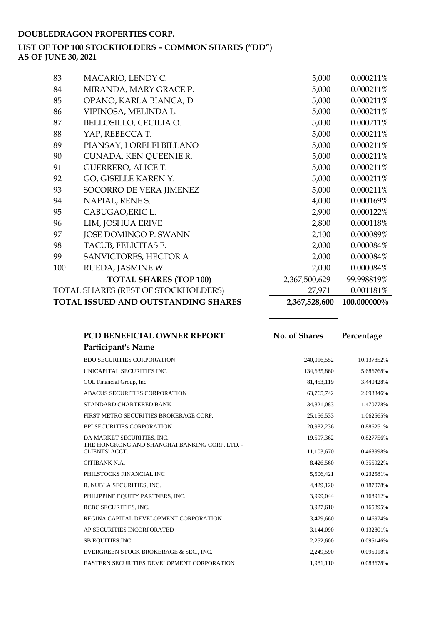### **LIST OF TOP 100 STOCKHOLDERS – COMMON SHARES ("DD")**

**AS OF JUNE 30, 2021**

| 83  | MACARIO, LENDY C.                   | 5,000         | 0.000211%   |
|-----|-------------------------------------|---------------|-------------|
| 84  | MIRANDA, MARY GRACE P.              | 5,000         | 0.000211%   |
| 85  | OPANO, KARLA BIANCA, D              | 5,000         | 0.000211%   |
| 86  | VIPINOSA, MELINDA L.                | 5,000         | 0.000211%   |
| 87  | BELLOSILLO, CECILIA O.              | 5,000         | 0.000211%   |
| 88  | YAP, REBECCA T.                     | 5,000         | 0.000211%   |
| 89  | PIANSAY, LORELEI BILLANO            | 5,000         | 0.000211%   |
| 90  | CUNADA, KEN QUEENIE R.              | 5,000         | 0.000211%   |
| 91  | <b>GUERRERO, ALICE T.</b>           | 5,000         | 0.000211%   |
| 92  | GO, GISELLE KAREN Y.                | 5,000         | 0.000211%   |
| 93  | SOCORRO DE VERA JIMENEZ             | 5,000         | 0.000211%   |
| 94  | NAPIAL, RENE S.                     | 4,000         | 0.000169%   |
| 95  | CABUGAO, ERIC L.                    | 2,900         | 0.000122%   |
| 96  | LIM, JOSHUA ERIVE                   | 2,800         | 0.000118%   |
| 97  | JOSE DOMINGO P. SWANN               | 2,100         | 0.000089%   |
| 98  | TACUB, FELICITAS F.                 | 2,000         | 0.000084%   |
| 99  | SANVICTORES, HECTOR A               | 2,000         | 0.000084%   |
| 100 | RUEDA, JASMINE W.                   | 2,000         | 0.000084%   |
|     | <b>TOTAL SHARES (TOP 100)</b>       | 2,367,500,629 | 99.998819%  |
|     | TOTAL SHARES (REST OF STOCKHOLDERS) | 27,971        | 0.001181%   |
|     | TOTAL ISSUED AND OUTSTANDING SHARES | 2,367,528,600 | 100.000000% |

| PCD BENEFICIAL OWNER REPORT                                      | No. of Shares | Percentage |
|------------------------------------------------------------------|---------------|------------|
| Participant's Name                                               |               |            |
| <b>BDO SECURITIES CORPORATION</b>                                | 240,016,552   | 10.137852% |
| UNICAPITAL SECURITIES INC.                                       | 134,635,860   | 5.686768%  |
| COL Financial Group, Inc.                                        | 81.453.119    | 3.440428%  |
| ABACUS SECURITIES CORPORATION                                    | 63,765,742    | 2.693346%  |
| STANDARD CHARTERED BANK                                          | 34,821,083    | 1.470778%  |
| FIRST METRO SECURITIES BROKERAGE CORP.                           | 25,156,533    | 1.062565%  |
| <b>BPI SECURITIES CORPORATION</b>                                | 20,982,236    | 0.886251%  |
| DA MARKET SECURITIES, INC.                                       | 19,597,362    | 0.827756%  |
| THE HONGKONG AND SHANGHAI BANKING CORP. LTD. -<br>CLIENTS' ACCT. | 11,103,670    | 0.468998%  |
| CITIBANK N.A.                                                    | 8,426,560     | 0.355922%  |
| PHILSTOCKS FINANCIAL INC                                         | 5,506,421     | 0.232581%  |
| R. NUBLA SECURITIES, INC.                                        | 4,429,120     | 0.187078%  |
| PHILIPPINE EQUITY PARTNERS, INC.                                 | 3,999,044     | 0.168912%  |
| RCBC SECURITIES, INC.                                            | 3,927,610     | 0.165895%  |
| REGINA CAPITAL DEVELOPMENT CORPORATION                           | 3,479,660     | 0.146974%  |
| AP SECURITIES INCORPORATED                                       | 3,144,090     | 0.132801%  |
| SB EQUITIES, INC.                                                | 2,252,600     | 0.095146%  |
| EVERGREEN STOCK BROKERAGE & SEC., INC.                           | 2,249,590     | 0.095018%  |
| EASTERN SECURITIES DEVELOPMENT CORPORATION                       | 1.981.110     | 0.083678%  |

L,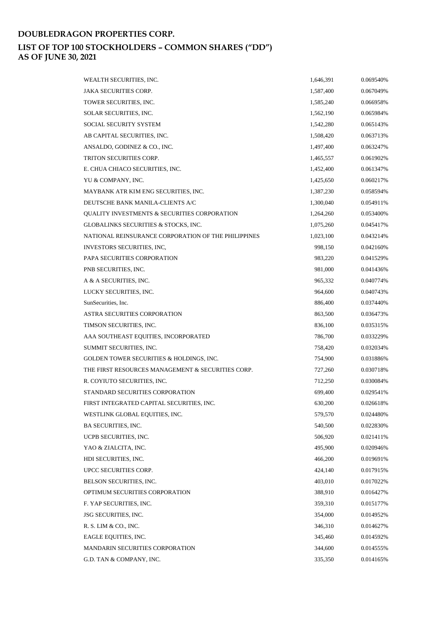| WEALTH SECURITIES, INC.                             | 1,646,391 | 0.069540% |
|-----------------------------------------------------|-----------|-----------|
| <b>JAKA SECURITIES CORP.</b>                        | 1,587,400 | 0.067049% |
| TOWER SECURITIES, INC.                              | 1,585,240 | 0.066958% |
| SOLAR SECURITIES, INC.                              | 1,562,190 | 0.065984% |
| SOCIAL SECURITY SYSTEM                              | 1,542,280 | 0.065143% |
| AB CAPITAL SECURITIES, INC.                         | 1,508,420 | 0.063713% |
| ANSALDO, GODINEZ & CO., INC.                        | 1,497,400 | 0.063247% |
| TRITON SECURITIES CORP.                             | 1,465,557 | 0.061902% |
| E. CHUA CHIACO SECURITIES, INC.                     | 1,452,400 | 0.061347% |
| YU & COMPANY, INC.                                  | 1,425,650 | 0.060217% |
| MAYBANK ATR KIM ENG SECURITIES, INC.                | 1,387,230 | 0.058594% |
| DEUTSCHE BANK MANILA-CLIENTS A/C                    | 1,300,040 | 0.054911% |
| QUALITY INVESTMENTS & SECURITIES CORPORATION        | 1,264,260 | 0.053400% |
| GLOBALINKS SECURITIES & STOCKS, INC.                | 1,075,260 | 0.045417% |
| NATIONAL REINSURANCE CORPORATION OF THE PHILIPPINES | 1,023,100 | 0.043214% |
| INVESTORS SECURITIES, INC.                          | 998,150   | 0.042160% |
| PAPA SECURITIES CORPORATION                         | 983,220   | 0.041529% |
| PNB SECURITIES, INC.                                | 981,000   | 0.041436% |
| A & A SECURITIES, INC.                              | 965,332   | 0.040774% |
| LUCKY SECURITIES, INC.                              | 964,600   | 0.040743% |
| SunSecurities, Inc.                                 | 886,400   | 0.037440% |
| <b>ASTRA SECURITIES CORPORATION</b>                 | 863,500   | 0.036473% |
| TIMSON SECURITIES, INC.                             | 836,100   | 0.035315% |
| AAA SOUTHEAST EQUITIES, INCORPORATED                | 786,700   | 0.033229% |
| SUMMIT SECURITIES, INC.                             | 758,420   | 0.032034% |
| GOLDEN TOWER SECURITIES & HOLDINGS, INC.            | 754,900   | 0.031886% |
| THE FIRST RESOURCES MANAGEMENT & SECURITIES CORP.   | 727,260   | 0.030718% |
| R. COYIUTO SECURITIES, INC.                         | 712,250   | 0.030084% |
| STANDARD SECURITIES CORPORATION                     | 699,400   | 0.029541% |
| FIRST INTEGRATED CAPITAL SECURITIES, INC.           | 630,200   | 0.026618% |
| WESTLINK GLOBAL EQUITIES, INC.                      | 579,570   | 0.024480% |
| <b>BA SECURITIES, INC.</b>                          | 540,500   | 0.022830% |
| UCPB SECURITIES, INC.                               | 506,920   | 0.021411% |
| YAO & ZIALCITA, INC.                                | 495,900   | 0.020946% |
| HDI SECURITIES, INC.                                | 466,200   | 0.019691% |
| UPCC SECURITIES CORP.                               | 424,140   | 0.017915% |
| BELSON SECURITIES, INC.                             | 403,010   | 0.017022% |
| OPTIMUM SECURITIES CORPORATION                      | 388,910   | 0.016427% |
| F. YAP SECURITIES, INC.                             | 359,310   | 0.015177% |
| JSG SECURITIES, INC.                                | 354,000   | 0.014952% |
| R. S. LIM & CO., INC.                               | 346,310   | 0.014627% |
| EAGLE EQUITIES, INC.                                | 345,460   | 0.014592% |
| <b>MANDARIN SECURITIES CORPORATION</b>              | 344,600   | 0.014555% |
| G.D. TAN & COMPANY, INC.                            | 335,350   | 0.014165% |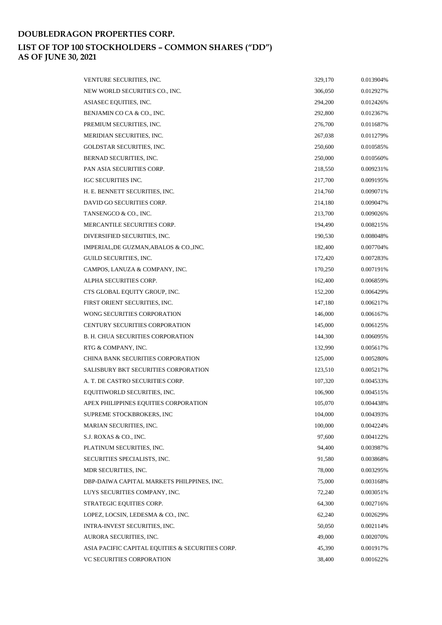| VENTURE SECURITIES, INC.                         | 329,170 | 0.013904% |
|--------------------------------------------------|---------|-----------|
| NEW WORLD SECURITIES CO., INC.                   | 306,050 | 0.012927% |
| ASIASEC EQUITIES, INC.                           | 294,200 | 0.012426% |
| BENJAMIN CO CA & CO., INC.                       | 292,800 | 0.012367% |
| PREMIUM SECURITIES, INC.                         | 276,700 | 0.011687% |
| MERIDIAN SECURITIES, INC.                        | 267,038 | 0.011279% |
| GOLDSTAR SECURITIES, INC.                        | 250,600 | 0.010585% |
| BERNAD SECURITIES, INC.                          | 250,000 | 0.010560% |
| PAN ASIA SECURITIES CORP.                        | 218,550 | 0.009231% |
| IGC SECURITIES INC.                              | 217,700 | 0.009195% |
| H. E. BENNETT SECURITIES, INC.                   | 214,760 | 0.009071% |
| DAVID GO SECURITIES CORP.                        | 214,180 | 0.009047% |
| TANSENGCO & CO., INC.                            | 213,700 | 0.009026% |
| MERCANTILE SECURITIES CORP.                      | 194,490 | 0.008215% |
| DIVERSIFIED SECURITIES, INC.                     | 190,530 | 0.008048% |
| IMPERIAL, DE GUZMAN, ABALOS & CO., INC.          | 182,400 | 0.007704% |
| GUILD SECURITIES, INC.                           | 172,420 | 0.007283% |
| CAMPOS, LANUZA & COMPANY, INC.                   | 170,250 | 0.007191% |
| ALPHA SECURITIES CORP.                           | 162,400 | 0.006859% |
| CTS GLOBAL EQUITY GROUP, INC.                    | 152,200 | 0.006429% |
| FIRST ORIENT SECURITIES, INC.                    | 147,180 | 0.006217% |
| WONG SECURITIES CORPORATION                      | 146,000 | 0.006167% |
| <b>CENTURY SECURITIES CORPORATION</b>            | 145,000 | 0.006125% |
| <b>B. H. CHUA SECURITIES CORPORATION</b>         | 144,300 | 0.006095% |
| RTG & COMPANY, INC.                              | 132,990 | 0.005617% |
| CHINA BANK SECURITIES CORPORATION                | 125,000 | 0.005280% |
| SALISBURY BKT SECURITIES CORPORATION             | 123,510 | 0.005217% |
| A. T. DE CASTRO SECURITIES CORP.                 | 107,320 | 0.004533% |
| EQUITIWORLD SECURITIES, INC.                     | 106,900 | 0.004515% |
| APEX PHILIPPINES EQUITIES CORPORATION            | 105,070 | 0.004438% |
| SUPREME STOCKBROKERS, INC                        | 104,000 | 0.004393% |
| <b>MARIAN SECURITIES, INC.</b>                   | 100,000 | 0.004224% |
| S.J. ROXAS & CO., INC.                           | 97,600  | 0.004122% |
| PLATINUM SECURITIES, INC.                        | 94,400  | 0.003987% |
| SECURITIES SPECIALISTS, INC.                     | 91,580  | 0.003868% |
| MDR SECURITIES, INC.                             | 78,000  | 0.003295% |
| DBP-DAIWA CAPITAL MARKETS PHILPPINES, INC.       | 75,000  | 0.003168% |
| LUYS SECURITIES COMPANY, INC.                    | 72,240  | 0.003051% |
| STRATEGIC EQUITIES CORP.                         | 64,300  | 0.002716% |
| LOPEZ, LOCSIN, LEDESMA & CO., INC.               | 62,240  | 0.002629% |
| INTRA-INVEST SECURITIES, INC.                    | 50,050  | 0.002114% |
| AURORA SECURITIES, INC.                          | 49,000  | 0.002070% |
| ASIA PACIFIC CAPITAL EQUITIES & SECURITIES CORP. | 45,390  | 0.001917% |
| VC SECURITIES CORPORATION                        | 38,400  | 0.001622% |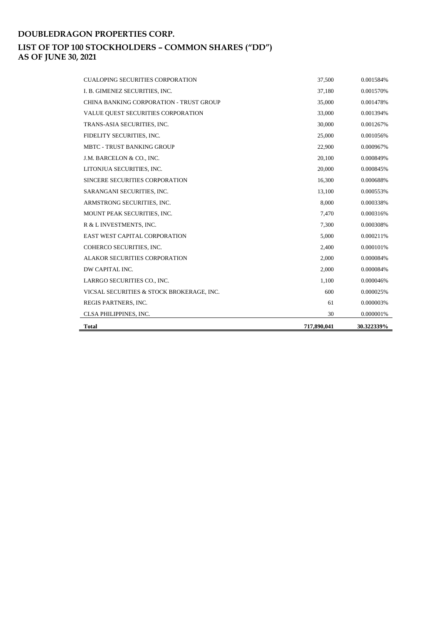| <b>CUALOPING SECURITIES CORPORATION</b>   | 37.500      | 0.001584%  |
|-------------------------------------------|-------------|------------|
| I. B. GIMENEZ SECURITIES, INC.            | 37,180      | 0.001570%  |
| CHINA BANKING CORPORATION - TRUST GROUP   | 35,000      | 0.001478%  |
| VALUE QUEST SECURITIES CORPORATION        | 33,000      | 0.001394%  |
| TRANS-ASIA SECURITIES, INC.               | 30,000      | 0.001267%  |
| FIDELITY SECURITIES, INC.                 | 25,000      | 0.001056%  |
| <b>MBTC - TRUST BANKING GROUP</b>         | 22,900      | 0.000967%  |
| J.M. BARCELON & CO., INC.                 | 20,100      | 0.000849%  |
| LITONJUA SECURITIES, INC.                 | 20,000      | 0.000845%  |
| SINCERE SECURITIES CORPORATION            | 16,300      | 0.000688%  |
| SARANGANI SECURITIES, INC.                | 13,100      | 0.000553%  |
| ARMSTRONG SECURITIES, INC.                | 8,000       | 0.000338%  |
| MOUNT PEAK SECURITIES, INC.               | 7,470       | 0.000316%  |
| R & L INVESTMENTS, INC.                   | 7,300       | 0.000308%  |
| <b>EAST WEST CAPITAL CORPORATION</b>      | 5,000       | 0.000211%  |
| COHERCO SECURITIES, INC.                  | 2,400       | 0.000101%  |
| <b>ALAKOR SECURITIES CORPORATION</b>      | 2,000       | 0.000084%  |
| DW CAPITAL INC.                           | 2,000       | 0.000084%  |
| LARRGO SECURITIES CO., INC.               | 1,100       | 0.000046%  |
| VICSAL SECURITIES & STOCK BROKERAGE, INC. | 600         | 0.000025%  |
| REGIS PARTNERS, INC.                      | 61          | 0.000003%  |
| CLSA PHILIPPINES, INC.                    | 30          | 0.000001%  |
| <b>Total</b>                              | 717,890,041 | 30.322339% |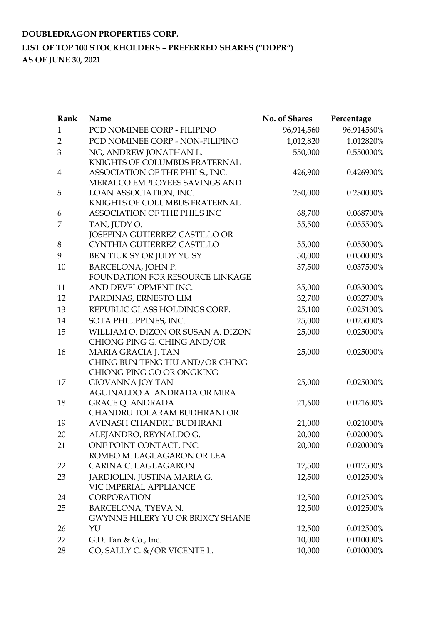# **DOUBLEDRAGON PROPERTIES CORP. LIST OF TOP 100 STOCKHOLDERS – PREFERRED SHARES ("DDPR") AS OF JUNE 30, 2021**

| 96.914560%<br>PCD NOMINEE CORP - FILIPINO<br>$\mathbf{1}$<br>96,914,560<br>PCD NOMINEE CORP - NON-FILIPINO<br>1.012820%<br>1,012,820<br>$\overline{2}$<br>550,000<br>0.550000%<br>3<br>NG, ANDREW JONATHAN L.<br>KNIGHTS OF COLUMBUS FRATERNAL<br>ASSOCIATION OF THE PHILS., INC.<br>0.426900%<br>426,900<br>4<br>MERALCO EMPLOYEES SAVINGS AND<br>LOAN ASSOCIATION, INC.<br>250,000<br>0.250000%<br>5<br>KNIGHTS OF COLUMBUS FRATERNAL<br>ASSOCIATION OF THE PHILS INC<br>68,700<br>0.068700%<br>6<br>TAN, JUDY O.<br>55,500<br>0.055500%<br>7<br>JOSEFINA GUTIERREZ CASTILLO OR<br>CYNTHIA GUTIERREZ CASTILLO<br>55,000<br>0.055000%<br>8<br>BEN TIUK SY OR JUDY YU SY<br>0.050000%<br>9<br>50,000<br>BARCELONA, JOHN P.<br>0.037500%<br>37,500<br>10<br>FOUNDATION FOR RESOURCE LINKAGE<br>AND DEVELOPMENT INC.<br>11<br>35,000<br>0.035000%<br>PARDINAS, ERNESTO LIM<br>12<br>32,700<br>0.032700%<br>REPUBLIC GLASS HOLDINGS CORP.<br>0.025100%<br>13<br>25,100<br>SOTA PHILIPPINES, INC.<br>25,000<br>0.025000%<br>14<br>WILLIAM O. DIZON OR SUSAN A. DIZON<br>25,000<br>0.025000%<br>15<br>CHIONG PING G. CHING AND/OR<br>MARIA GRACIA J. TAN<br>25,000<br>0.025000%<br>16<br>CHING BUN TENG TIU AND/OR CHING<br>CHIONG PING GO OR ONGKING<br><b>GIOVANNA JOY TAN</b><br>25,000<br>0.025000%<br>17<br>AGUINALDO A. ANDRADA OR MIRA<br><b>GRACE Q. ANDRADA</b><br>18<br>21,600<br>0.021600%<br>CHANDRU TOLARAM BUDHRANI OR<br>AVINASH CHANDRU BUDHRANI<br>0.021000%<br>19<br>21,000<br>ALEJANDRO, REYNALDO G.<br>20<br>20,000<br>0.020000%<br>ONE POINT CONTACT, INC.<br>21<br>20,000<br>0.020000%<br>ROMEO M. LAGLAGARON OR LEA<br>CARINA C. LAGLAGARON<br>17,500<br>0.017500%<br>22 | Rank | Name | No. of Shares | Percentage |
|--------------------------------------------------------------------------------------------------------------------------------------------------------------------------------------------------------------------------------------------------------------------------------------------------------------------------------------------------------------------------------------------------------------------------------------------------------------------------------------------------------------------------------------------------------------------------------------------------------------------------------------------------------------------------------------------------------------------------------------------------------------------------------------------------------------------------------------------------------------------------------------------------------------------------------------------------------------------------------------------------------------------------------------------------------------------------------------------------------------------------------------------------------------------------------------------------------------------------------------------------------------------------------------------------------------------------------------------------------------------------------------------------------------------------------------------------------------------------------------------------------------------------------------------------------------------------------------------------------------------------------------------------------------------------------------------|------|------|---------------|------------|
|                                                                                                                                                                                                                                                                                                                                                                                                                                                                                                                                                                                                                                                                                                                                                                                                                                                                                                                                                                                                                                                                                                                                                                                                                                                                                                                                                                                                                                                                                                                                                                                                                                                                                            |      |      |               |            |
|                                                                                                                                                                                                                                                                                                                                                                                                                                                                                                                                                                                                                                                                                                                                                                                                                                                                                                                                                                                                                                                                                                                                                                                                                                                                                                                                                                                                                                                                                                                                                                                                                                                                                            |      |      |               |            |
|                                                                                                                                                                                                                                                                                                                                                                                                                                                                                                                                                                                                                                                                                                                                                                                                                                                                                                                                                                                                                                                                                                                                                                                                                                                                                                                                                                                                                                                                                                                                                                                                                                                                                            |      |      |               |            |
|                                                                                                                                                                                                                                                                                                                                                                                                                                                                                                                                                                                                                                                                                                                                                                                                                                                                                                                                                                                                                                                                                                                                                                                                                                                                                                                                                                                                                                                                                                                                                                                                                                                                                            |      |      |               |            |
|                                                                                                                                                                                                                                                                                                                                                                                                                                                                                                                                                                                                                                                                                                                                                                                                                                                                                                                                                                                                                                                                                                                                                                                                                                                                                                                                                                                                                                                                                                                                                                                                                                                                                            |      |      |               |            |
|                                                                                                                                                                                                                                                                                                                                                                                                                                                                                                                                                                                                                                                                                                                                                                                                                                                                                                                                                                                                                                                                                                                                                                                                                                                                                                                                                                                                                                                                                                                                                                                                                                                                                            |      |      |               |            |
|                                                                                                                                                                                                                                                                                                                                                                                                                                                                                                                                                                                                                                                                                                                                                                                                                                                                                                                                                                                                                                                                                                                                                                                                                                                                                                                                                                                                                                                                                                                                                                                                                                                                                            |      |      |               |            |
|                                                                                                                                                                                                                                                                                                                                                                                                                                                                                                                                                                                                                                                                                                                                                                                                                                                                                                                                                                                                                                                                                                                                                                                                                                                                                                                                                                                                                                                                                                                                                                                                                                                                                            |      |      |               |            |
|                                                                                                                                                                                                                                                                                                                                                                                                                                                                                                                                                                                                                                                                                                                                                                                                                                                                                                                                                                                                                                                                                                                                                                                                                                                                                                                                                                                                                                                                                                                                                                                                                                                                                            |      |      |               |            |
|                                                                                                                                                                                                                                                                                                                                                                                                                                                                                                                                                                                                                                                                                                                                                                                                                                                                                                                                                                                                                                                                                                                                                                                                                                                                                                                                                                                                                                                                                                                                                                                                                                                                                            |      |      |               |            |
|                                                                                                                                                                                                                                                                                                                                                                                                                                                                                                                                                                                                                                                                                                                                                                                                                                                                                                                                                                                                                                                                                                                                                                                                                                                                                                                                                                                                                                                                                                                                                                                                                                                                                            |      |      |               |            |
|                                                                                                                                                                                                                                                                                                                                                                                                                                                                                                                                                                                                                                                                                                                                                                                                                                                                                                                                                                                                                                                                                                                                                                                                                                                                                                                                                                                                                                                                                                                                                                                                                                                                                            |      |      |               |            |
|                                                                                                                                                                                                                                                                                                                                                                                                                                                                                                                                                                                                                                                                                                                                                                                                                                                                                                                                                                                                                                                                                                                                                                                                                                                                                                                                                                                                                                                                                                                                                                                                                                                                                            |      |      |               |            |
|                                                                                                                                                                                                                                                                                                                                                                                                                                                                                                                                                                                                                                                                                                                                                                                                                                                                                                                                                                                                                                                                                                                                                                                                                                                                                                                                                                                                                                                                                                                                                                                                                                                                                            |      |      |               |            |
|                                                                                                                                                                                                                                                                                                                                                                                                                                                                                                                                                                                                                                                                                                                                                                                                                                                                                                                                                                                                                                                                                                                                                                                                                                                                                                                                                                                                                                                                                                                                                                                                                                                                                            |      |      |               |            |
|                                                                                                                                                                                                                                                                                                                                                                                                                                                                                                                                                                                                                                                                                                                                                                                                                                                                                                                                                                                                                                                                                                                                                                                                                                                                                                                                                                                                                                                                                                                                                                                                                                                                                            |      |      |               |            |
|                                                                                                                                                                                                                                                                                                                                                                                                                                                                                                                                                                                                                                                                                                                                                                                                                                                                                                                                                                                                                                                                                                                                                                                                                                                                                                                                                                                                                                                                                                                                                                                                                                                                                            |      |      |               |            |
|                                                                                                                                                                                                                                                                                                                                                                                                                                                                                                                                                                                                                                                                                                                                                                                                                                                                                                                                                                                                                                                                                                                                                                                                                                                                                                                                                                                                                                                                                                                                                                                                                                                                                            |      |      |               |            |
|                                                                                                                                                                                                                                                                                                                                                                                                                                                                                                                                                                                                                                                                                                                                                                                                                                                                                                                                                                                                                                                                                                                                                                                                                                                                                                                                                                                                                                                                                                                                                                                                                                                                                            |      |      |               |            |
|                                                                                                                                                                                                                                                                                                                                                                                                                                                                                                                                                                                                                                                                                                                                                                                                                                                                                                                                                                                                                                                                                                                                                                                                                                                                                                                                                                                                                                                                                                                                                                                                                                                                                            |      |      |               |            |
|                                                                                                                                                                                                                                                                                                                                                                                                                                                                                                                                                                                                                                                                                                                                                                                                                                                                                                                                                                                                                                                                                                                                                                                                                                                                                                                                                                                                                                                                                                                                                                                                                                                                                            |      |      |               |            |
|                                                                                                                                                                                                                                                                                                                                                                                                                                                                                                                                                                                                                                                                                                                                                                                                                                                                                                                                                                                                                                                                                                                                                                                                                                                                                                                                                                                                                                                                                                                                                                                                                                                                                            |      |      |               |            |
|                                                                                                                                                                                                                                                                                                                                                                                                                                                                                                                                                                                                                                                                                                                                                                                                                                                                                                                                                                                                                                                                                                                                                                                                                                                                                                                                                                                                                                                                                                                                                                                                                                                                                            |      |      |               |            |
|                                                                                                                                                                                                                                                                                                                                                                                                                                                                                                                                                                                                                                                                                                                                                                                                                                                                                                                                                                                                                                                                                                                                                                                                                                                                                                                                                                                                                                                                                                                                                                                                                                                                                            |      |      |               |            |
|                                                                                                                                                                                                                                                                                                                                                                                                                                                                                                                                                                                                                                                                                                                                                                                                                                                                                                                                                                                                                                                                                                                                                                                                                                                                                                                                                                                                                                                                                                                                                                                                                                                                                            |      |      |               |            |
|                                                                                                                                                                                                                                                                                                                                                                                                                                                                                                                                                                                                                                                                                                                                                                                                                                                                                                                                                                                                                                                                                                                                                                                                                                                                                                                                                                                                                                                                                                                                                                                                                                                                                            |      |      |               |            |
|                                                                                                                                                                                                                                                                                                                                                                                                                                                                                                                                                                                                                                                                                                                                                                                                                                                                                                                                                                                                                                                                                                                                                                                                                                                                                                                                                                                                                                                                                                                                                                                                                                                                                            |      |      |               |            |
|                                                                                                                                                                                                                                                                                                                                                                                                                                                                                                                                                                                                                                                                                                                                                                                                                                                                                                                                                                                                                                                                                                                                                                                                                                                                                                                                                                                                                                                                                                                                                                                                                                                                                            |      |      |               |            |
|                                                                                                                                                                                                                                                                                                                                                                                                                                                                                                                                                                                                                                                                                                                                                                                                                                                                                                                                                                                                                                                                                                                                                                                                                                                                                                                                                                                                                                                                                                                                                                                                                                                                                            |      |      |               |            |
|                                                                                                                                                                                                                                                                                                                                                                                                                                                                                                                                                                                                                                                                                                                                                                                                                                                                                                                                                                                                                                                                                                                                                                                                                                                                                                                                                                                                                                                                                                                                                                                                                                                                                            |      |      |               |            |
|                                                                                                                                                                                                                                                                                                                                                                                                                                                                                                                                                                                                                                                                                                                                                                                                                                                                                                                                                                                                                                                                                                                                                                                                                                                                                                                                                                                                                                                                                                                                                                                                                                                                                            |      |      |               |            |
|                                                                                                                                                                                                                                                                                                                                                                                                                                                                                                                                                                                                                                                                                                                                                                                                                                                                                                                                                                                                                                                                                                                                                                                                                                                                                                                                                                                                                                                                                                                                                                                                                                                                                            |      |      |               |            |
| 23<br>JARDIOLIN, JUSTINA MARIA G.<br>12,500<br>0.012500%                                                                                                                                                                                                                                                                                                                                                                                                                                                                                                                                                                                                                                                                                                                                                                                                                                                                                                                                                                                                                                                                                                                                                                                                                                                                                                                                                                                                                                                                                                                                                                                                                                   |      |      |               |            |
| VIC IMPERIAL APPLIANCE                                                                                                                                                                                                                                                                                                                                                                                                                                                                                                                                                                                                                                                                                                                                                                                                                                                                                                                                                                                                                                                                                                                                                                                                                                                                                                                                                                                                                                                                                                                                                                                                                                                                     |      |      |               |            |
| <b>CORPORATION</b><br>12,500<br>0.012500%<br>24                                                                                                                                                                                                                                                                                                                                                                                                                                                                                                                                                                                                                                                                                                                                                                                                                                                                                                                                                                                                                                                                                                                                                                                                                                                                                                                                                                                                                                                                                                                                                                                                                                            |      |      |               |            |
| 25<br>BARCELONA, TYEVA N.<br>12,500<br>0.012500%                                                                                                                                                                                                                                                                                                                                                                                                                                                                                                                                                                                                                                                                                                                                                                                                                                                                                                                                                                                                                                                                                                                                                                                                                                                                                                                                                                                                                                                                                                                                                                                                                                           |      |      |               |            |
| <b>GWYNNE HILERY YU OR BRIXCY SHANE</b>                                                                                                                                                                                                                                                                                                                                                                                                                                                                                                                                                                                                                                                                                                                                                                                                                                                                                                                                                                                                                                                                                                                                                                                                                                                                                                                                                                                                                                                                                                                                                                                                                                                    |      |      |               |            |
| YU<br>12,500<br>0.012500%<br>26                                                                                                                                                                                                                                                                                                                                                                                                                                                                                                                                                                                                                                                                                                                                                                                                                                                                                                                                                                                                                                                                                                                                                                                                                                                                                                                                                                                                                                                                                                                                                                                                                                                            |      |      |               |            |
| 10,000<br>0.010000%<br>27<br>G.D. Tan $& Co., Inc.$                                                                                                                                                                                                                                                                                                                                                                                                                                                                                                                                                                                                                                                                                                                                                                                                                                                                                                                                                                                                                                                                                                                                                                                                                                                                                                                                                                                                                                                                                                                                                                                                                                        |      |      |               |            |
| CO, SALLY C. &/OR VICENTE L.<br>10,000<br>0.010000%<br>28                                                                                                                                                                                                                                                                                                                                                                                                                                                                                                                                                                                                                                                                                                                                                                                                                                                                                                                                                                                                                                                                                                                                                                                                                                                                                                                                                                                                                                                                                                                                                                                                                                  |      |      |               |            |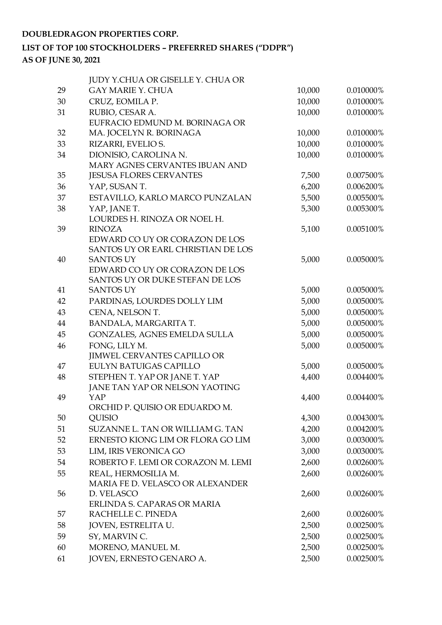# **LIST OF TOP 100 STOCKHOLDERS – PREFERRED SHARES ("DDPR") AS OF JUNE 30, 2021**

|    | <b>JUDY Y.CHUA OR GISELLE Y. CHUA OR</b>                |        |           |
|----|---------------------------------------------------------|--------|-----------|
| 29 | <b>GAY MARIE Y. CHUA</b>                                | 10,000 | 0.010000% |
| 30 | CRUZ, EOMILA P.                                         | 10,000 | 0.010000% |
| 31 | RUBIO, CESAR A.                                         | 10,000 | 0.010000% |
|    | EUFRACIO EDMUND M. BORINAGA OR                          |        |           |
| 32 | MA. JOCELYN R. BORINAGA                                 | 10,000 | 0.010000% |
| 33 | RIZARRI, EVELIO S.                                      | 10,000 | 0.010000% |
| 34 | DIONISIO, CAROLINA N.                                   | 10,000 | 0.010000% |
|    | MARY AGNES CERVANTES IBUAN AND                          |        |           |
| 35 | <b>JESUSA FLORES CERVANTES</b>                          | 7,500  | 0.007500% |
| 36 | YAP, SUSAN T.                                           | 6,200  | 0.006200% |
| 37 | ESTAVILLO, KARLO MARCO PUNZALAN                         | 5,500  | 0.005500% |
| 38 | YAP, JANE T.                                            | 5,300  | 0.005300% |
|    | LOURDES H. RINOZA OR NOEL H.                            |        |           |
| 39 | <b>RINOZA</b>                                           | 5,100  | 0.005100% |
|    | EDWARD CO UY OR CORAZON DE LOS                          |        |           |
|    | SANTOS UY OR EARL CHRISTIAN DE LOS                      |        |           |
| 40 | <b>SANTOS UY</b>                                        | 5,000  | 0.005000% |
|    | EDWARD CO UY OR CORAZON DE LOS                          |        |           |
|    | SANTOS UY OR DUKE STEFAN DE LOS                         |        |           |
| 41 | <b>SANTOS UY</b>                                        | 5,000  | 0.005000% |
| 42 | PARDINAS, LOURDES DOLLY LIM                             | 5,000  | 0.005000% |
| 43 | CENA, NELSON T.                                         | 5,000  | 0.005000% |
| 44 | BANDALA, MARGARITA T.                                   | 5,000  | 0.005000% |
| 45 | GONZALES, AGNES EMELDA SULLA                            | 5,000  | 0.005000% |
| 46 | FONG, LILY M.                                           | 5,000  | 0.005000% |
|    | <b>JIMWEL CERVANTES CAPILLO OR</b>                      |        |           |
| 47 | <b>EULYN BATUIGAS CAPILLO</b>                           | 5,000  | 0.005000% |
| 48 | STEPHEN T. YAP OR JANE T. YAP                           | 4,400  | 0.004400% |
|    | JANE TAN YAP OR NELSON YAOTING                          |        |           |
| 49 | YAP<br>ORCHID P. QUISIO OR EDUARDO M.                   | 4,400  | 0.004400% |
| 50 | QUISIO                                                  | 4,300  | 0.004300% |
| 51 | SUZANNE L. TAN OR WILLIAM G. TAN                        | 4,200  | 0.004200% |
| 52 | ERNESTO KIONG LIM OR FLORA GO LIM                       | 3,000  | 0.003000% |
| 53 | LIM, IRIS VERONICA GO                                   | 3,000  | 0.003000% |
| 54 | ROBERTO F. LEMI OR CORAZON M. LEMI                      |        |           |
|    |                                                         | 2,600  | 0.002600% |
| 55 | REAL, HERMOSILIA M.<br>MARIA FE D. VELASCO OR ALEXANDER | 2,600  | 0.002600% |
| 56 | D. VELASCO                                              | 2,600  | 0.002600% |
|    | ERLINDA S. CAPARAS OR MARIA                             |        |           |
| 57 | RACHELLE C. PINEDA                                      | 2,600  | 0.002600% |
| 58 | JOVEN, ESTRELITA U.                                     | 2,500  | 0.002500% |
| 59 | SY, MARVIN C.                                           | 2,500  | 0.002500% |
| 60 | MORENO, MANUEL M.                                       | 2,500  | 0.002500% |
| 61 | JOVEN, ERNESTO GENARO A.                                | 2,500  | 0.002500% |
|    |                                                         |        |           |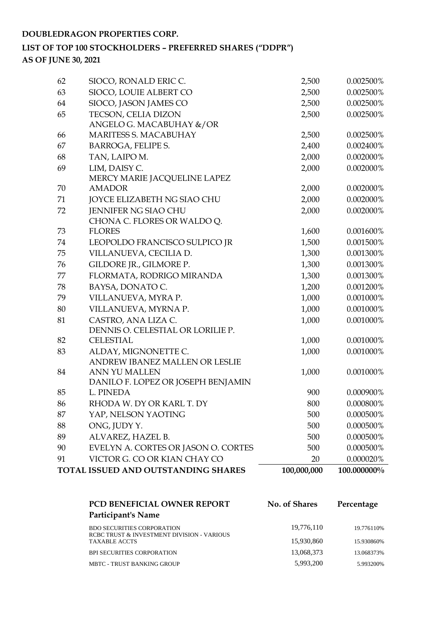# **LIST OF TOP 100 STOCKHOLDERS – PREFERRED SHARES ("DDPR")**

**AS OF JUNE 30, 2021**

|    | TOTAL ISSUED AND OUTSTANDING SHARES          | 100,000,000 | 100.000000% |
|----|----------------------------------------------|-------------|-------------|
| 91 | VICTOR G. CO OR KIAN CHAY CO                 | 20          | 0.000020%   |
| 90 | EVELYN A. CORTES OR JASON O. CORTES          | 500         | 0.000500%   |
| 89 | ALVAREZ, HAZEL B.                            | 500         | 0.000500%   |
| 88 | ONG, JUDY Y.                                 | 500         | 0.000500%   |
| 87 | YAP, NELSON YAOTING                          | 500         | 0.000500%   |
| 86 | RHODA W. DY OR KARL T. DY                    | 800         | 0.000800%   |
| 85 | L. PINEDA                                    | 900         | 0.000900%   |
|    | DANILO F. LOPEZ OR JOSEPH BENJAMIN           |             |             |
| 84 | ANN YU MALLEN                                | 1,000       | 0.001000%   |
|    | ANDREW IBANEZ MALLEN OR LESLIE               |             |             |
| 83 | ALDAY, MIGNONETTE C.                         | 1,000       | 0.001000%   |
| 82 | <b>CELESTIAL</b>                             | 1,000       | 0.001000%   |
|    | DENNIS O. CELESTIAL OR LORILIE P.            |             |             |
| 81 | CASTRO, ANA LIZA C.                          | 1,000       | 0.001000%   |
| 80 | VILLANUEVA, MYRNA P.                         | 1,000       | 0.001000%   |
| 79 | VILLANUEVA, MYRA P.                          | 1,000       | 0.001000%   |
| 78 | BAYSA, DONATO C.                             | 1,200       | 0.001200%   |
| 77 | FLORMATA, RODRIGO MIRANDA                    | 1,300       | 0.001300%   |
| 76 | GILDORE JR., GILMORE P.                      | 1,300       | 0.001300%   |
| 75 | VILLANUEVA, CECILIA D.                       | 1,300       | 0.001300%   |
| 74 | LEOPOLDO FRANCISCO SULPICO JR                | 1,500       | 0.001500%   |
| 73 | <b>FLORES</b>                                | 1,600       | 0.001600%   |
|    | CHONA C. FLORES OR WALDO Q.                  |             |             |
| 72 | <b>JENNIFER NG SIAO CHU</b>                  | 2,000       | 0.002000%   |
| 71 | JOYCE ELIZABETH NG SIAO CHU                  | 2,000       | 0.002000%   |
| 70 | <b>AMADOR</b>                                | 2,000       | 0.002000%   |
|    | MERCY MARIE JACQUELINE LAPEZ                 |             |             |
| 69 | LIM, DAISY C.                                | 2,000       | 0.002000%   |
| 68 | TAN, LAIPOM.                                 | 2,000       | 0.002000%   |
| 67 | <b>BARROGA, FELIPE S.</b>                    | 2,400       | 0.002400%   |
| 66 | MARITESS S. MACABUHAY                        | 2,500       | 0.002500%   |
| 65 | ANGELO G. MACABUHAY &/OR                     | 2,500       | 0.002500%   |
| 64 | SIOCO, JASON JAMES CO<br>TECSON, CELIA DIZON | 2,500       | 0.002500%   |
| 63 | SIOCO, LOUIE ALBERT CO                       | 2,500       | 0.002500%   |
|    |                                              |             |             |
| 62 | SIOCO, RONALD ERIC C.                        | 2,500       | 0.002500%   |

| PCD BENEFICIAL OWNER REPORT                                                     | No. of Shares | Percentage |
|---------------------------------------------------------------------------------|---------------|------------|
| Participant's Name                                                              |               |            |
| <b>BDO SECURITIES CORPORATION</b><br>RCBC TRUST & INVESTMENT DIVISION - VARIOUS | 19,776,110    | 19.776110% |
| <b>TAXABLE ACCTS</b>                                                            | 15,930,860    | 15.930860% |
| <b>BPI SECURITIES CORPORATION</b>                                               | 13,068,373    | 13.068373% |
| MBTC - TRUST BANKING GROUP                                                      | 5,993,200     | 5.993200%  |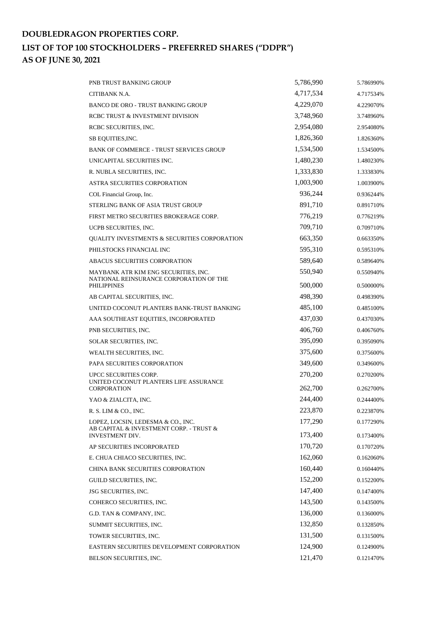# **DOUBLEDRAGON PROPERTIES CORP. LIST OF TOP 100 STOCKHOLDERS – PREFERRED SHARES ("DDPR") AS OF JUNE 30, 2021**

| PNB TRUST BANKING GROUP                                           | 5,786,990 | 5.786990% |
|-------------------------------------------------------------------|-----------|-----------|
| CITIBANK N.A.                                                     | 4,717,534 | 4.717534% |
| <b>BANCO DE ORO - TRUST BANKING GROUP</b>                         | 4,229,070 | 4.229070% |
| RCBC TRUST & INVESTMENT DIVISION                                  | 3,748,960 | 3.748960% |
| RCBC SECURITIES, INC.                                             | 2,954,080 | 2.954080% |
| SB EQUITIES, INC.                                                 | 1,826,360 | 1.826360% |
| <b>BANK OF COMMERCE - TRUST SERVICES GROUP</b>                    | 1,534,500 | 1.534500% |
| UNICAPITAL SECURITIES INC.                                        | 1,480,230 | 1.480230% |
| R. NUBLA SECURITIES, INC.                                         | 1,333,830 | 1.333830% |
| <b>ASTRA SECURITIES CORPORATION</b>                               | 1,003,900 | 1.003900% |
| COL Financial Group, Inc.                                         | 936,244   | 0.936244% |
| STERLING BANK OF ASIA TRUST GROUP                                 | 891,710   | 0.891710% |
| FIRST METRO SECURITIES BROKERAGE CORP.                            | 776,219   | 0.776219% |
| UCPB SECURITIES, INC.                                             | 709,710   | 0.709710% |
| QUALITY INVESTMENTS & SECURITIES CORPORATION                      | 663,350   | 0.663350% |
| PHILSTOCKS FINANCIAL INC                                          | 595,310   | 0.595310% |
| <b>ABACUS SECURITIES CORPORATION</b>                              | 589,640   | 0.589640% |
| MAYBANK ATR KIM ENG SECURITIES, INC.                              | 550,940   | 0.550940% |
| NATIONAL REINSURANCE CORPORATION OF THE<br>PHILIPPINES            | 500,000   | 0.500000% |
| AB CAPITAL SECURITIES, INC.                                       | 498,390   | 0.498390% |
| UNITED COCONUT PLANTERS BANK-TRUST BANKING                        | 485,100   | 0.485100% |
| AAA SOUTHEAST EQUITIES, INCORPORATED                              | 437,030   | 0.437030% |
| PNB SECURITIES, INC.                                              | 406,760   | 0.406760% |
| SOLAR SECURITIES, INC.                                            | 395,090   | 0.395090% |
| WEALTH SECURITIES, INC.                                           | 375,600   | 0.375600% |
| PAPA SECURITIES CORPORATION                                       | 349,600   | 0.349600% |
| UPCC SECURITIES CORP.                                             | 270,200   | 0.270200% |
| UNITED COCONUT PLANTERS LIFE ASSURANCE<br><b>CORPORATION</b>      | 262,700   | 0.262700% |
| YAO & ZIALCITA, INC.                                              | 244,400   | 0.244400% |
| R. S. LIM & CO., INC.                                             | 223,870   | 0.223870% |
| LOPEZ, LOCSIN, LEDESMA & CO., INC.                                | 177,290   | 0.177290% |
| AB CAPITAL & INVESTMENT CORP. - TRUST &<br><b>INVESTMENT DIV.</b> | 173,400   | 0.173400% |
| AP SECURITIES INCORPORATED                                        | 170,720   | 0.170720% |
| E. CHUA CHIACO SECURITIES, INC.                                   | 162,060   | 0.162060% |
| CHINA BANK SECURITIES CORPORATION                                 | 160,440   | 0.160440% |
| GUILD SECURITIES, INC.                                            | 152,200   | 0.152200% |
| <b>JSG SECURITIES, INC.</b>                                       | 147,400   | 0.147400% |
| COHERCO SECURITIES, INC.                                          | 143,500   | 0.143500% |
| G.D. TAN & COMPANY, INC.                                          | 136,000   | 0.136000% |
| SUMMIT SECURITIES, INC.                                           | 132,850   | 0.132850% |
| TOWER SECURITIES, INC.                                            | 131,500   | 0.131500% |
| EASTERN SECURITIES DEVELOPMENT CORPORATION                        | 124,900   | 0.124900% |
| BELSON SECURITIES, INC.                                           | 121,470   | 0.121470% |
|                                                                   |           |           |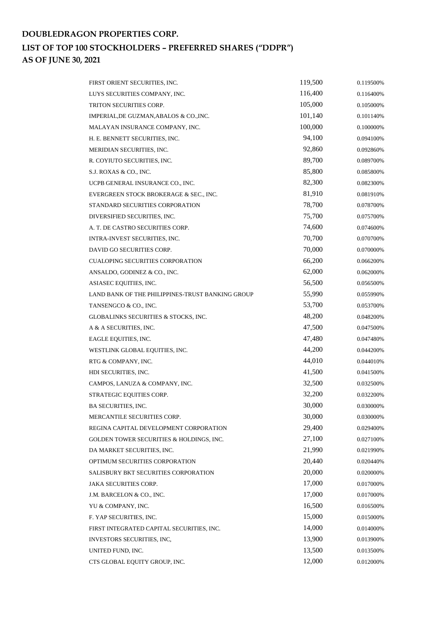# **DOUBLEDRAGON PROPERTIES CORP. LIST OF TOP 100 STOCKHOLDERS – PREFERRED SHARES ("DDPR") AS OF JUNE 30, 2021**

| FIRST ORIENT SECURITIES, INC.                    | 119,500 | 0.119500% |
|--------------------------------------------------|---------|-----------|
| LUYS SECURITIES COMPANY, INC.                    | 116,400 | 0.116400% |
| TRITON SECURITIES CORP.                          | 105,000 | 0.105000% |
| IMPERIAL, DE GUZMAN, ABALOS & CO., INC.          | 101,140 | 0.101140% |
| MALAYAN INSURANCE COMPANY, INC.                  | 100,000 | 0.100000% |
| H. E. BENNETT SECURITIES, INC.                   | 94,100  | 0.094100% |
| MERIDIAN SECURITIES, INC.                        | 92,860  | 0.092860% |
| R. COYIUTO SECURITIES, INC.                      | 89,700  | 0.089700% |
| S.J. ROXAS & CO., INC.                           | 85,800  | 0.085800% |
| UCPB GENERAL INSURANCE CO., INC.                 | 82,300  | 0.082300% |
| EVERGREEN STOCK BROKERAGE & SEC., INC.           | 81,910  | 0.081910% |
| STANDARD SECURITIES CORPORATION                  | 78,700  | 0.078700% |
| DIVERSIFIED SECURITIES, INC.                     | 75,700  | 0.075700% |
| A. T. DE CASTRO SECURITIES CORP.                 | 74,600  | 0.074600% |
| INTRA-INVEST SECURITIES, INC.                    | 70,700  | 0.070700% |
| DAVID GO SECURITIES CORP.                        | 70,000  | 0.070000% |
| <b>CUALOPING SECURITIES CORPORATION</b>          | 66,200  | 0.066200% |
| ANSALDO, GODINEZ & CO., INC.                     | 62,000  | 0.062000% |
| ASIASEC EQUITIES, INC.                           | 56,500  | 0.056500% |
| LAND BANK OF THE PHILIPPINES-TRUST BANKING GROUP | 55,990  | 0.055990% |
| TANSENGCO & CO., INC.                            | 53,700  | 0.053700% |
| GLOBALINKS SECURITIES & STOCKS, INC.             | 48,200  | 0.048200% |
| A & A SECURITIES, INC.                           | 47,500  | 0.047500% |
| EAGLE EQUITIES, INC.                             | 47,480  | 0.047480% |
| WESTLINK GLOBAL EQUITIES, INC.                   | 44,200  | 0.044200% |
| RTG & COMPANY, INC.                              | 44,010  | 0.044010% |
| HDI SECURITIES, INC.                             | 41,500  | 0.041500% |
| CAMPOS, LANUZA & COMPANY, INC.                   | 32,500  | 0.032500% |
| STRATEGIC EQUITIES CORP.                         | 32,200  | 0.032200% |
| <b>BA SECURITIES, INC.</b>                       | 30,000  | 0.030000% |
| MERCANTILE SECURITIES CORP.                      | 30,000  | 0.030000% |
| REGINA CAPITAL DEVELOPMENT CORPORATION           | 29,400  | 0.029400% |
| GOLDEN TOWER SECURITIES & HOLDINGS, INC.         | 27,100  | 0.027100% |
| DA MARKET SECURITIES, INC.                       | 21,990  | 0.021990% |
| OPTIMUM SECURITIES CORPORATION                   | 20,440  | 0.020440% |
| SALISBURY BKT SECURITIES CORPORATION             | 20,000  | 0.020000% |
| <b>JAKA SECURITIES CORP.</b>                     | 17,000  | 0.017000% |
| J.M. BARCELON & CO., INC.                        | 17,000  | 0.017000% |
| YU & COMPANY, INC.                               | 16,500  | 0.016500% |
| F. YAP SECURITIES, INC.                          | 15,000  | 0.015000% |
| FIRST INTEGRATED CAPITAL SECURITIES, INC.        | 14,000  | 0.014000% |
| INVESTORS SECURITIES, INC,                       | 13,900  | 0.013900% |
| UNITED FUND, INC.                                | 13,500  | 0.013500% |
| CTS GLOBAL EQUITY GROUP, INC.                    | 12,000  | 0.012000% |